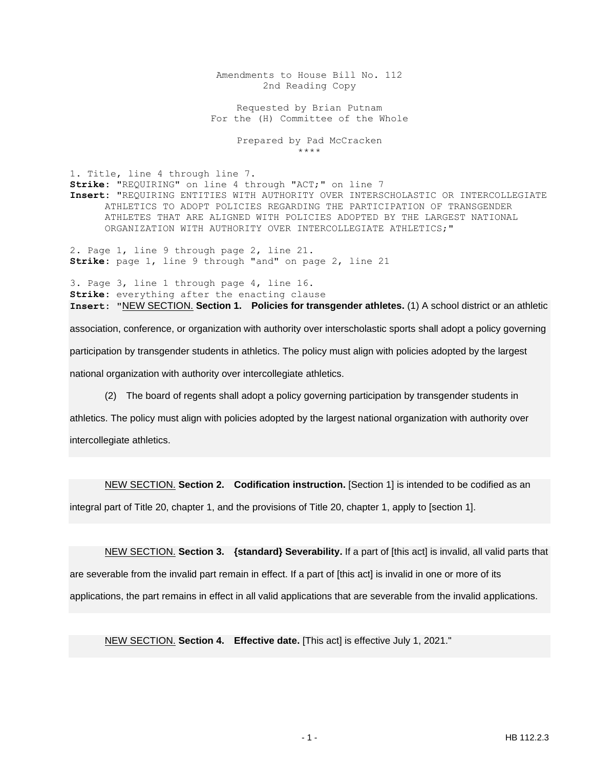Amendments to House Bill No. 112 2nd Reading Copy

Requested by Brian Putnam For the (H) Committee of the Whole

> Prepared by Pad McCracken \*\*\*\*

1. Title, line 4 through line 7. **Strike:** "REQUIRING" on line 4 through "ACT;" on line 7 **Insert:** "REQUIRING ENTITIES WITH AUTHORITY OVER INTERSCHOLASTIC OR INTERCOLLEGIATE ATHLETICS TO ADOPT POLICIES REGARDING THE PARTICIPATION OF TRANSGENDER ATHLETES THAT ARE ALIGNED WITH POLICIES ADOPTED BY THE LARGEST NATIONAL ORGANIZATION WITH AUTHORITY OVER INTERCOLLEGIATE ATHLETICS;"

2. Page 1, line 9 through page 2, line 21. **Strike:** page 1, line 9 through "and" on page 2, line 21

3. Page 3, line 1 through page 4, line 16. **Strike:** everything after the enacting clause **Insert:** "NEW SECTION. **Section 1. Policies for transgender athletes.** (1) A school district or an athletic association, conference, or organization with authority over interscholastic sports shall adopt a policy governing

participation by transgender students in athletics. The policy must align with policies adopted by the largest

national organization with authority over intercollegiate athletics.

(2) The board of regents shall adopt a policy governing participation by transgender students in

athletics. The policy must align with policies adopted by the largest national organization with authority over intercollegiate athletics.

NEW SECTION. **Section 2. Codification instruction.** [Section 1] is intended to be codified as an

integral part of Title 20, chapter 1, and the provisions of Title 20, chapter 1, apply to [section 1].

NEW SECTION. **Section 3. {standard} Severability.** If a part of [this act] is invalid, all valid parts that are severable from the invalid part remain in effect. If a part of [this act] is invalid in one or more of its applications, the part remains in effect in all valid applications that are severable from the invalid applications.

NEW SECTION. **Section 4. Effective date.** [This act] is effective July 1, 2021."